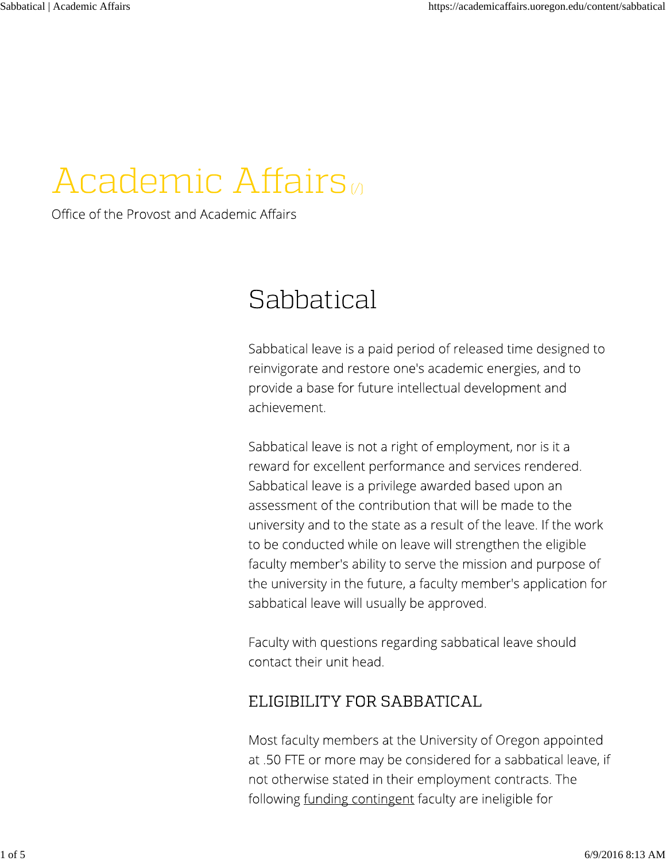# **Academic Affairs**

Office of the Provost and Academic Affairs

# Sabbatical

Sabbatical leave is a paid period of released time designed to reinvigorate and restore one's academic energies, and to provide a base for future intellectual development and achievement.

Sabbatical leave is not a right of employment, nor is it a reward for excellent performance and services rendered. Sabbatical leave is a privilege awarded based upon an assessment of the contribution that will be made to the university and to the state as a result of the leave. If the work to be conducted while on leave will strengthen the eligible faculty member's ability to serve the mission and purpose of the university in the future, a faculty member's application for sabbatical leave will usually be approved.

Faculty with questions regarding sabbatical leave should contact their unit head.

## ELIGIBILITY FOR SABBATICAL

Most faculty members at the University of Oregon appointed at .50 FTE or more may be considered for a sabbatical leave, if not otherwise stated in their employment contracts. The following <u>funding contingent</u> faculty are ineligible for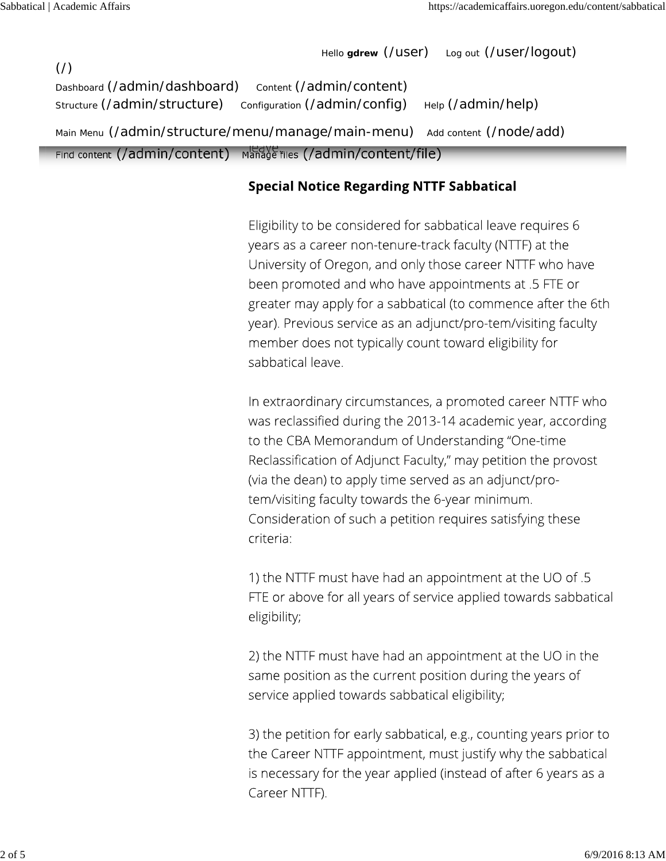Hello **gdrew** (/user) Log out (/user/logout)

 $($  $/$  $)$ Dashboard (/admin/dashboard) Content (/admin/content) Structure (/admin/structure) configuration (/admin/config) Help (/admin/help) Main Menu (/admin/structure/menu/manage/main-menu) Add content (/node/add) Find content  $($ /admin/content) Manage files  $($ /admin/content/file)

#### **Special Notice Regarding NTTF Sabbatical**

Eligibility to be considered for sabbatical leave requires 6 years as a career non-tenure-track faculty (NTTF) at the University of Oregon, and only those career NTTF who have been promoted and who have appointments at .5 FTE or greater may apply for a sabbatical (to commence after the 6th year). Previous service as an adjunct/pro-tem/visiting faculty member does not typically count toward eligibility for sabbatical leave.

In extraordinary circumstances, a promoted career NTTF who was reclassified during the 2013-14 academic year, according to the CBA Memorandum of Understanding "One-time Reclassification of Adjunct Faculty," may petition the provost (via the dean) to apply time served as an adjunct/protem/visiting faculty towards the 6-year minimum. Consideration of such a petition requires satisfying these criteria:

1) the NTTF must have had an appointment at the UO of .5 FTE or above for all years of service applied towards sabbatical eligibility;

2) the NTTF must have had an appointment at the UO in the same position as the current position during the years of service applied towards sabbatical eligibility;

3) the petition for early sabbatical, e.g., counting years prior to the Career NTTF appointment, must justify why the sabbatical is necessary for the year applied (instead of after 6 years as a Career NTTF).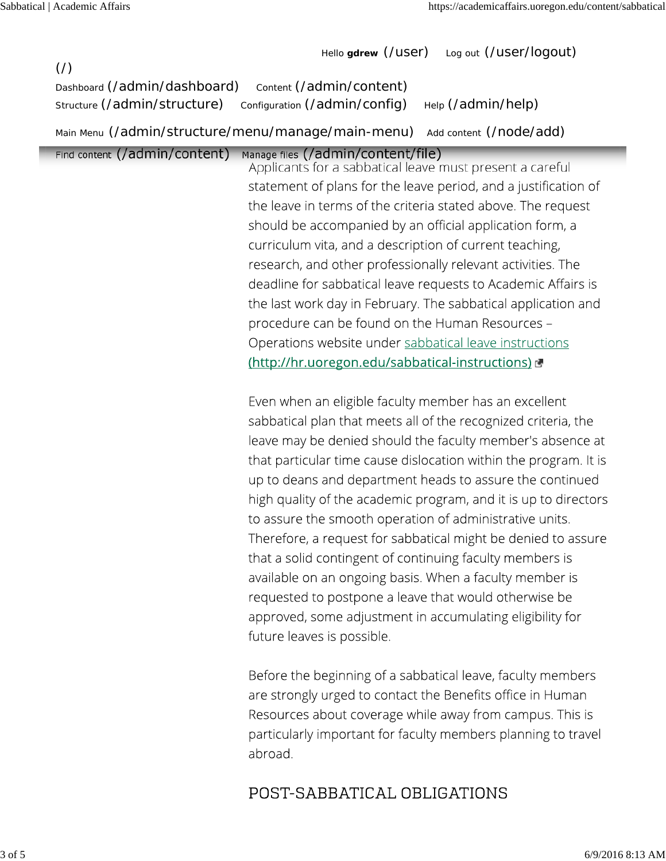Hello **gdrew** (/user) Log out (/user/logout)

| $\left(\frac{\ }{\ }{\ }$<br>Dashboard (/admin/dashboard)<br>Structure (/admin/structure) | $1010$ gates $\alpha$ ago $\beta$<br>Content (/admin/content)<br>Configuration (/admin/config)<br>Help (/admin/help)                                                                                                                                                                                                                                                                                                                                                                                                                                                                                                                                                                                                                                                               |
|-------------------------------------------------------------------------------------------|------------------------------------------------------------------------------------------------------------------------------------------------------------------------------------------------------------------------------------------------------------------------------------------------------------------------------------------------------------------------------------------------------------------------------------------------------------------------------------------------------------------------------------------------------------------------------------------------------------------------------------------------------------------------------------------------------------------------------------------------------------------------------------|
|                                                                                           | Main Menu (/admin/structure/menu/manage/main-menu) Add content (/node/add)                                                                                                                                                                                                                                                                                                                                                                                                                                                                                                                                                                                                                                                                                                         |
| Find content (/admin/content)                                                             | Manage files (/admin/content/file)<br>Applicants for a sabbatical leave must present a careful<br>statement of plans for the leave period, and a justification of<br>the leave in terms of the criteria stated above. The request<br>should be accompanied by an official application form, a<br>curriculum vita, and a description of current teaching,<br>research, and other professionally relevant activities. The<br>deadline for sabbatical leave requests to Academic Affairs is<br>the last work day in February. The sabbatical application and<br>procedure can be found on the Human Resources -<br>Operations website under sabbatical leave instructions<br>(http://hr.uoregon.edu/sabbatical-instructions)<br>Even when an eligible faculty member has an excellent |
|                                                                                           | sabbatical plan that meets all of the recognized criteria, the<br>leave may be denied should the faculty member's absence at                                                                                                                                                                                                                                                                                                                                                                                                                                                                                                                                                                                                                                                       |

that particular time cause dislocation within the program. It is up to deans and department heads to assure the continued high quality of the academic program, and it is up to directors to assure the smooth operation of administrative units. Therefore, a request for sabbatical might be denied to assure that a solid contingent of continuing faculty members is available on an ongoing basis. When a faculty member is requested to postpone a leave that would otherwise be approved, some adjustment in accumulating eligibility for future leaves is possible.

Before the beginning of a sabbatical leave, faculty members are strongly urged to contact the Benefits office in Human Resources about coverage while away from campus. This is particularly important for faculty members planning to travel abroad.

### POST-SABBATICAL OBLIGATIONS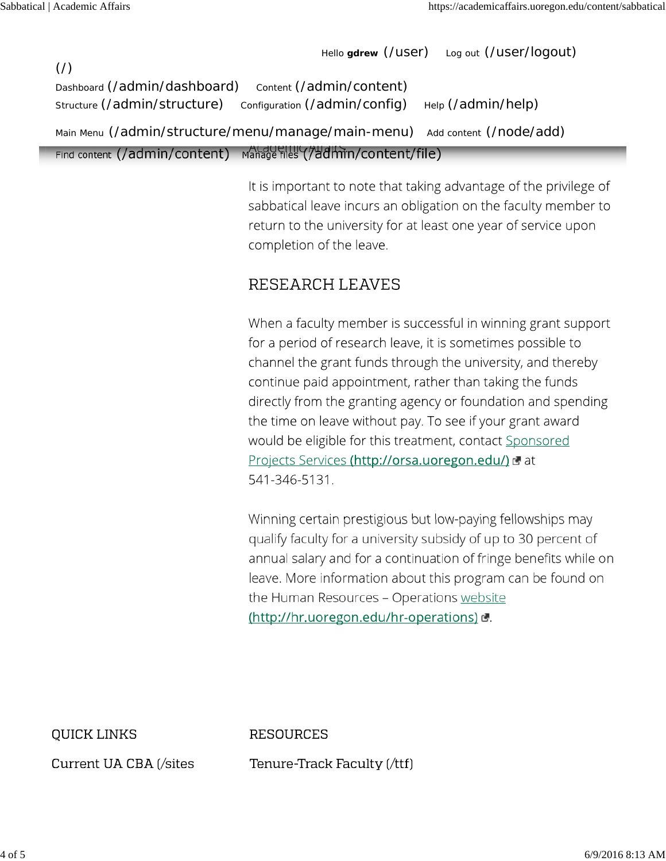Hello **gdrew** (/user) Log out (/user/logout)  $($  $/$  $)$ Dashboard (/admin/dashboard) Content (/admin/content) Structure (/admin/structure) configuration (/admin/config) Help (/admin/help) Main Menu (/admin/structure/menu/manage/main-menu) Add content (/node/add) Find content (/admin/content) Manage files (/admin/content/file)

> It is important to note that taking advantage of the privilege of sabbatical leave incurs an obligation on the faculty member to return to the university for at least one year of service upon completion of the leave.

#### RESEARCH LEAVES

When a faculty member is successful in winning grant support for a period of research leave, it is sometimes possible to channel the grant funds through the university, and thereby continue paid appointment, rather than taking the funds directly from the granting agency or foundation and spending the time on leave without pay. To see if your grant award would be eligible for this treatment, contact Sponsored Projects Services (http://orsa.uoregon.edu/) d at 541-346-5131.

Winning certain prestigious but low-paying fellowships may qualify faculty for a university subsidy of up to 30 percent of annual salary and for a continuation of fringe benefits while on leave. More information about this program can be found on the Human Resources - Operations website (http://hr.uoregon.edu/hr-operations) &

QUICK LINKS

**RESOURCES** 

Current UA CBA (/sites

Tenure-Track Faculty (/ttf)